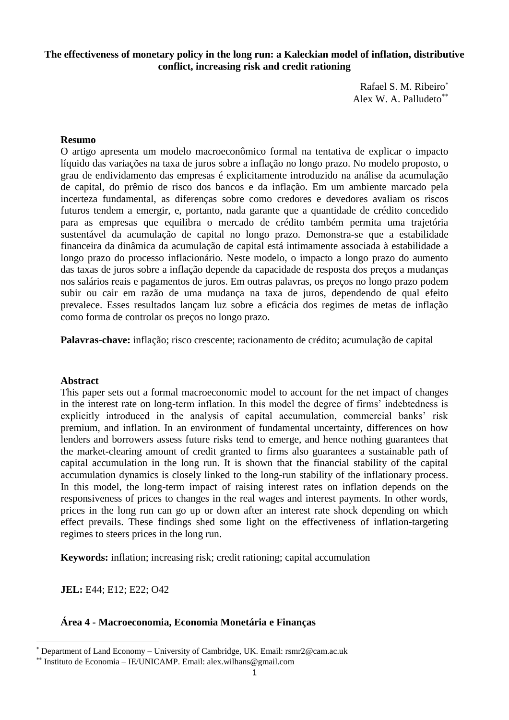# **The effectiveness of monetary policy in the long run: a Kaleckian model of inflation, distributive conflict, increasing risk and credit rationing**

Rafael S. M. Ribeiro Alex W. A. Palludeto

# **Resumo**

O artigo apresenta um modelo macroeconômico formal na tentativa de explicar o impacto líquido das variações na taxa de juros sobre a inflação no longo prazo. No modelo proposto, o grau de endividamento das empresas é explicitamente introduzido na análise da acumulação de capital, do prêmio de risco dos bancos e da inflação. Em um ambiente marcado pela incerteza fundamental, as diferenças sobre como credores e devedores avaliam os riscos futuros tendem a emergir, e, portanto, nada garante que a quantidade de crédito concedido para as empresas que equilibra o mercado de crédito também permita uma trajetória sustentável da acumulação de capital no longo prazo. Demonstra-se que a estabilidade financeira da dinâmica da acumulação de capital está intimamente associada à estabilidade a longo prazo do processo inflacionário. Neste modelo, o impacto a longo prazo do aumento das taxas de juros sobre a inflação depende da capacidade de resposta dos preços a mudanças nos salários reais e pagamentos de juros. Em outras palavras, os preços no longo prazo podem subir ou cair em razão de uma mudança na taxa de juros, dependendo de qual efeito prevalece. Esses resultados lançam luz sobre a eficácia dos regimes de metas de inflação como forma de controlar os preços no longo prazo.

**Palavras-chave:** inflação; risco crescente; racionamento de crédito; acumulação de capital

### **Abstract**

This paper sets out a formal macroeconomic model to account for the net impact of changes in the interest rate on long-term inflation. In this model the degree of firms' indebtedness is explicitly introduced in the analysis of capital accumulation, commercial banks' risk premium, and inflation. In an environment of fundamental uncertainty, differences on how lenders and borrowers assess future risks tend to emerge, and hence nothing guarantees that the market-clearing amount of credit granted to firms also guarantees a sustainable path of capital accumulation in the long run. It is shown that the financial stability of the capital accumulation dynamics is closely linked to the long-run stability of the inflationary process. In this model, the long-term impact of raising interest rates on inflation depends on the responsiveness of prices to changes in the real wages and interest payments. In other words, prices in the long run can go up or down after an interest rate shock depending on which effect prevails. These findings shed some light on the effectiveness of inflation-targeting regimes to steers prices in the long run.

**Keywords:** inflation; increasing risk; credit rationing; capital accumulation

**JEL:** E44; E12; E22; O42

 $\overline{a}$ 

# **Área 4 - Macroeconomia, Economia Monetária e Finanças**

Department of Land Economy – University of Cambridge, UK. Email: rsmr2@cam.ac.uk

<sup>\*\*</sup> Instituto de Economia – IE/UNICAMP. Email: alex.wilhans@gmail.com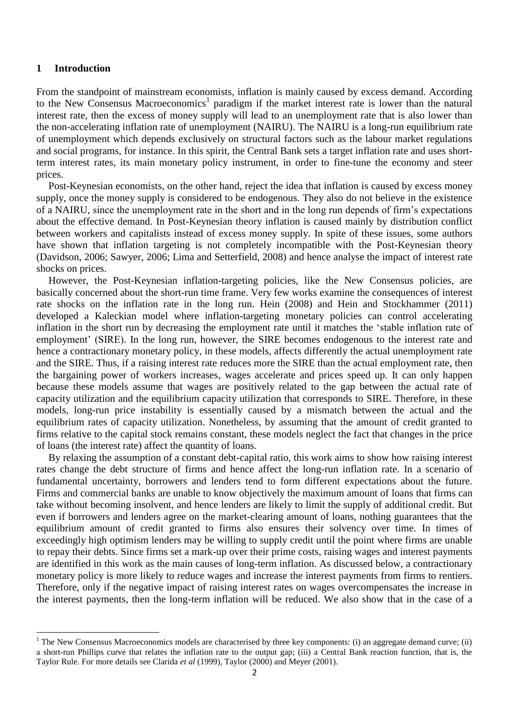### **1 Introduction**

 $\overline{a}$ 

From the standpoint of mainstream economists, inflation is mainly caused by excess demand. According to the New Consensus Macroeconomics<sup>1</sup> paradigm if the market interest rate is lower than the natural interest rate, then the excess of money supply will lead to an unemployment rate that is also lower than the non-accelerating inflation rate of unemployment (NAIRU). The NAIRU is a long-run equilibrium rate of unemployment which depends exclusively on structural factors such as the labour market regulations and social programs, for instance. In this spirit, the Central Bank sets a target inflation rate and uses shortterm interest rates, its main monetary policy instrument, in order to fine-tune the economy and steer prices.

Post-Keynesian economists, on the other hand, reject the idea that inflation is caused by excess money supply, once the money supply is considered to be endogenous. They also do not believe in the existence of a NAIRU, since the unemployment rate in the short and in the long run depends of firm's expectations about the effective demand. In Post-Keynesian theory inflation is caused mainly by distribution conflict between workers and capitalists instead of excess money supply. In spite of these issues, some authors have shown that inflation targeting is not completely incompatible with the Post-Keynesian theory (Davidson, 2006; Sawyer, 2006; Lima and Setterfield, 2008) and hence analyse the impact of interest rate shocks on prices.

However, the Post-Keynesian inflation-targeting policies, like the New Consensus policies, are basically concerned about the short-run time frame. Very few works examine the consequences of interest rate shocks on the inflation rate in the long run. Hein (2008) and Hein and Stockhammer (2011) developed a Kaleckian model where inflation-targeting monetary policies can control accelerating inflation in the short run by decreasing the employment rate until it matches the 'stable inflation rate of employment' (SIRE). In the long run, however, the SIRE becomes endogenous to the interest rate and hence a contractionary monetary policy, in these models, affects differently the actual unemployment rate and the SIRE. Thus, if a raising interest rate reduces more the SIRE than the actual employment rate, then the bargaining power of workers increases, wages accelerate and prices speed up. It can only happen because these models assume that wages are positively related to the gap between the actual rate of capacity utilization and the equilibrium capacity utilization that corresponds to SIRE. Therefore, in these models, long-run price instability is essentially caused by a mismatch between the actual and the equilibrium rates of capacity utilization. Nonetheless, by assuming that the amount of credit granted to firms relative to the capital stock remains constant, these models neglect the fact that changes in the price of loans (the interest rate) affect the quantity of loans.

By relaxing the assumption of a constant debt-capital ratio, this work aims to show how raising interest rates change the debt structure of firms and hence affect the long-run inflation rate. In a scenario of fundamental uncertainty, borrowers and lenders tend to form different expectations about the future. Firms and commercial banks are unable to know objectively the maximum amount of loans that firms can take without becoming insolvent, and hence lenders are likely to limit the supply of additional credit. But even if borrowers and lenders agree on the market-clearing amount of loans, nothing guarantees that the equilibrium amount of credit granted to firms also ensures their solvency over time. In times of exceedingly high optimism lenders may be willing to supply credit until the point where firms are unable to repay their debts. Since firms set a mark-up over their prime costs, raising wages and interest payments are identified in this work as the main causes of long-term inflation. As discussed below, a contractionary monetary policy is more likely to reduce wages and increase the interest payments from firms to rentiers. Therefore, only if the negative impact of raising interest rates on wages overcompensates the increase in the interest payments, then the long-term inflation will be reduced. We also show that in the case of a

 $1$  The New Consensus Macroeconomics models are characterised by three key components: (i) an aggregate demand curve; (ii) a short-run Phillips curve that relates the inflation rate to the output gap; (iii) a Central Bank reaction function, that is, the Taylor Rule. For more details see Clarida *et al* (1999), Taylor (2000) and Meyer (2001).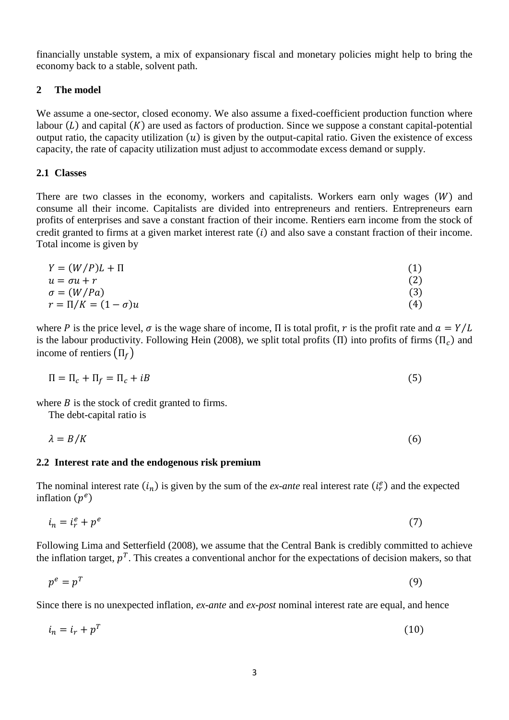financially unstable system, a mix of expansionary fiscal and monetary policies might help to bring the economy back to a stable, solvent path.

# **2 The model**

We assume a one-sector, closed economy. We also assume a fixed-coefficient production function where labour  $(L)$  and capital  $(K)$  are used as factors of production. Since we suppose a constant capital-potential output ratio, the capacity utilization  $(u)$  is given by the output-capital ratio. Given the existence of excess capacity, the rate of capacity utilization must adjust to accommodate excess demand or supply.

# **2.1 Classes**

There are two classes in the economy, workers and capitalists. Workers earn only wages  $(W)$  and consume all their income. Capitalists are divided into entrepreneurs and rentiers. Entrepreneurs earn profits of enterprises and save a constant fraction of their income. Rentiers earn income from the stock of credit granted to firms at a given market interest rate  $(i)$  and also save a constant fraction of their income. Total income is given by

$$
Y = (W/P)L + \Pi
$$
  
\n
$$
u = \sigma u + r
$$
  
\n
$$
\sigma = (W/Pa)
$$
  
\n
$$
r = \Pi/K = (1 - \sigma)u
$$
  
\n(4)

where P is the price level,  $\sigma$  is the wage share of income, Π is total profit, r is the profit rate and  $a = Y/L$ is the labour productivity. Following Hein (2008), we split total profits ( $\Pi$ ) into profits of firms ( $\Pi_c$ ) and income of rentiers  $(\Pi_f)$ 

$$
\Pi = \Pi_c + \Pi_f = \Pi_c + iB \tag{5}
$$

where  $B$  is the stock of credit granted to firms.

The debt-capital ratio is

$$
\lambda = B/K \tag{6}
$$

### **2.2 Interest rate and the endogenous risk premium**

The nominal interest rate  $(i_n)$  is given by the sum of the *ex-ante* real interest rate  $(i_r^e)$  and the expected inflation  $(p^e)$ 

$$
i_n = i_r^e + p^e \tag{7}
$$

Following Lima and Setterfield (2008), we assume that the Central Bank is credibly committed to achieve the inflation target,  $p<sup>T</sup>$ . This creates a conventional anchor for the expectations of decision makers, so that

$$
p^e = p^T \tag{9}
$$

Since there is no unexpected inflation, *ex-ante* and *ex-post* nominal interest rate are equal, and hence

$$
i_n = i_r + p^T \tag{10}
$$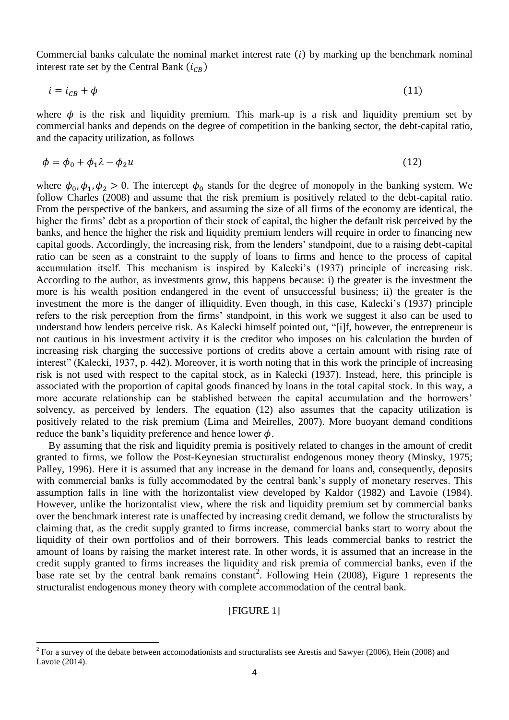Commercial banks calculate the nominal market interest rate  $(i)$  by marking up the benchmark nominal interest rate set by the Central Bank  $(i_{CR})$ 

$$
i = i_{CB} + \phi \tag{11}
$$

where  $\phi$  is the risk and liquidity premium. This mark-up is a risk and liquidity premium set by commercial banks and depends on the degree of competition in the banking sector, the debt-capital ratio, and the capacity utilization, as follows

$$
\phi = \phi_0 + \phi_1 \lambda - \phi_2 u \tag{12}
$$

where  $\phi_0, \phi_1, \phi_2 > 0$ . The intercept  $\phi_0$  stands for the degree of monopoly in the banking system. We follow Charles (2008) and assume that the risk premium is positively related to the debt-capital ratio. From the perspective of the bankers, and assuming the size of all firms of the economy are identical, the higher the firms' debt as a proportion of their stock of capital, the higher the default risk perceived by the banks, and hence the higher the risk and liquidity premium lenders will require in order to financing new capital goods. Accordingly, the increasing risk, from the lenders' standpoint, due to a raising debt-capital ratio can be seen as a constraint to the supply of loans to firms and hence to the process of capital accumulation itself. This mechanism is inspired by Kalecki's (1937) principle of increasing risk. According to the author, as investments grow, this happens because: i) the greater is the investment the more is his wealth position endangered in the event of unsuccessful business; ii) the greater is the investment the more is the danger of illiquidity. Even though, in this case, Kalecki's (1937) principle refers to the risk perception from the firms' standpoint, in this work we suggest it also can be used to understand how lenders perceive risk. As Kalecki himself pointed out, "[i]f, however, the entrepreneur is not cautious in his investment activity it is the creditor who imposes on his calculation the burden of increasing risk charging the successive portions of credits above a certain amount with rising rate of interest" (Kalecki, 1937, p. 442). Moreover, it is worth noting that in this work the principle of increasing risk is not used with respect to the capital stock, as in Kalecki (1937). Instead, here, this principle is associated with the proportion of capital goods financed by loans in the total capital stock. In this way, a more accurate relationship can be stablished between the capital accumulation and the borrowers' solvency, as perceived by lenders. The equation (12) also assumes that the capacity utilization is positively related to the risk premium (Lima and Meirelles, 2007). More buoyant demand conditions reduce the bank's liquidity preference and hence lower  $\phi$ .

By assuming that the risk and liquidity premia is positively related to changes in the amount of credit granted to firms, we follow the Post-Keynesian structuralist endogenous money theory (Minsky, 1975; Palley, 1996). Here it is assumed that any increase in the demand for loans and, consequently, deposits with commercial banks is fully accommodated by the central bank's supply of monetary reserves. This assumption falls in line with the horizontalist view developed by Kaldor (1982) and Lavoie (1984). However, unlike the horizontalist view, where the risk and liquidity premium set by commercial banks over the benchmark interest rate is unaffected by increasing credit demand, we follow the structuralists by claiming that, as the credit supply granted to firms increase, commercial banks start to worry about the liquidity of their own portfolios and of their borrowers. This leads commercial banks to restrict the amount of loans by raising the market interest rate. In other words, it is assumed that an increase in the credit supply granted to firms increases the liquidity and risk premia of commercial banks, even if the base rate set by the central bank remains constant<sup>2</sup>. Following Hein (2008), Figure 1 represents the structuralist endogenous money theory with complete accommodation of the central bank.

### [FIGURE 1]

 $\overline{a}$ 

 $2^2$  For a survey of the debate between accomodationists and structuralists see Arestis and Sawyer (2006), Hein (2008) and Lavoie (2014).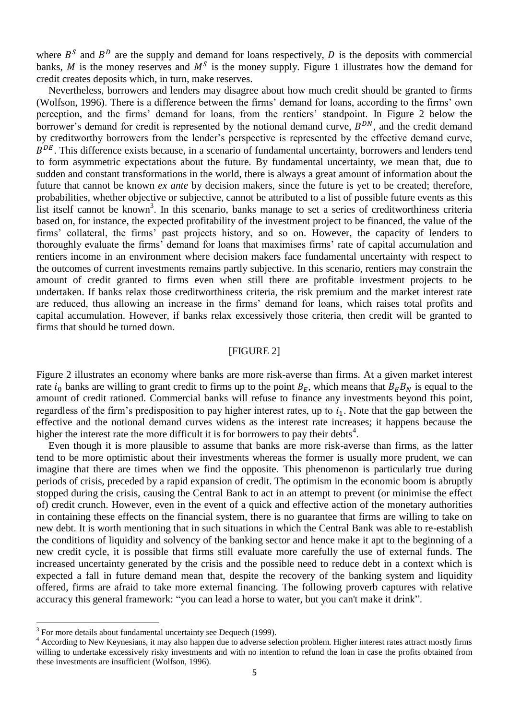where  $B^S$  and  $B^D$  are the supply and demand for loans respectively, D is the deposits with commercial banks, M is the money reserves and  $M<sup>S</sup>$  is the money supply. Figure 1 illustrates how the demand for credit creates deposits which, in turn, make reserves.

Nevertheless, borrowers and lenders may disagree about how much credit should be granted to firms (Wolfson, 1996). There is a difference between the firms' demand for loans, according to the firms' own perception, and the firms' demand for loans, from the rentiers' standpoint. In Figure 2 below the borrower's demand for credit is represented by the notional demand curve,  $B^{DN}$ , and the credit demand by creditworthy borrowers from the lender's perspective is represented by the effective demand curve,  $B^{DE}$ . This difference exists because, in a scenario of fundamental uncertainty, borrowers and lenders tend to form asymmetric expectations about the future. By fundamental uncertainty, we mean that, due to sudden and constant transformations in the world, there is always a great amount of information about the future that cannot be known *ex ante* by decision makers, since the future is yet to be created; therefore, probabilities, whether objective or subjective, cannot be attributed to a list of possible future events as this list itself cannot be known<sup>3</sup>. In this scenario, banks manage to set a series of creditworthiness criteria based on, for instance, the expected profitability of the investment project to be financed, the value of the firms' collateral, the firms' past projects history, and so on. However, the capacity of lenders to thoroughly evaluate the firms' demand for loans that maximises firms' rate of capital accumulation and rentiers income in an environment where decision makers face fundamental uncertainty with respect to the outcomes of current investments remains partly subjective. In this scenario, rentiers may constrain the amount of credit granted to firms even when still there are profitable investment projects to be undertaken. If banks relax those creditworthiness criteria, the risk premium and the market interest rate are reduced, thus allowing an increase in the firms' demand for loans, which raises total profits and capital accumulation. However, if banks relax excessively those criteria, then credit will be granted to firms that should be turned down.

# [FIGURE 2]

Figure 2 illustrates an economy where banks are more risk-averse than firms. At a given market interest rate  $i_0$  banks are willing to grant credit to firms up to the point  $B_E$ , which means that  $B_E B_N$  is equal to the amount of credit rationed. Commercial banks will refuse to finance any investments beyond this point, regardless of the firm's predisposition to pay higher interest rates, up to  $i_1$ . Note that the gap between the effective and the notional demand curves widens as the interest rate increases; it happens because the higher the interest rate the more difficult it is for borrowers to pay their debts<sup>4</sup>.

Even though it is more plausible to assume that banks are more risk-averse than firms, as the latter tend to be more optimistic about their investments whereas the former is usually more prudent, we can imagine that there are times when we find the opposite. This phenomenon is particularly true during periods of crisis, preceded by a rapid expansion of credit. The optimism in the economic boom is abruptly stopped during the crisis, causing the Central Bank to act in an attempt to prevent (or minimise the effect of) credit crunch. However, even in the event of a quick and effective action of the monetary authorities in containing these effects on the financial system, there is no guarantee that firms are willing to take on new debt. It is worth mentioning that in such situations in which the Central Bank was able to re-establish the conditions of liquidity and solvency of the banking sector and hence make it apt to the beginning of a new credit cycle, it is possible that firms still evaluate more carefully the use of external funds. The increased uncertainty generated by the crisis and the possible need to reduce debt in a context which is expected a fall in future demand mean that, despite the recovery of the banking system and liquidity offered, firms are afraid to take more external financing. The following proverb captures with relative accuracy this general framework: "you can lead a horse to water, but you can't make it drink".

 $\ddot{\phantom{a}}$ 

 $3$  For more details about fundamental uncertainty see Dequech (1999).

<sup>&</sup>lt;sup>4</sup> According to New Keynesians, it may also happen due to adverse selection problem. Higher interest rates attract mostly firms willing to undertake excessively risky investments and with no intention to refund the loan in case the profits obtained from these investments are insufficient (Wolfson, 1996).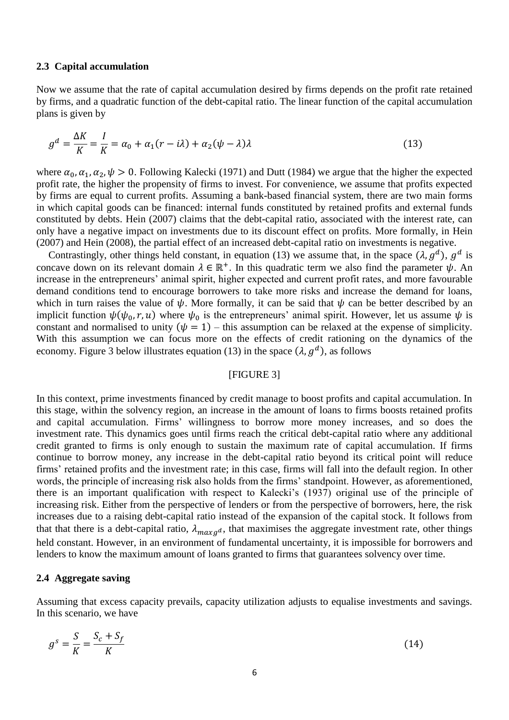#### **2.3 Capital accumulation**

Now we assume that the rate of capital accumulation desired by firms depends on the profit rate retained by firms, and a quadratic function of the debt-capital ratio. The linear function of the capital accumulation plans is given by

$$
g^d = \frac{\Delta K}{K} = \frac{I}{K} = \alpha_0 + \alpha_1 (r - i\lambda) + \alpha_2 (\psi - \lambda) \lambda
$$
\n(13)

where  $\alpha_0, \alpha_1, \alpha_2, \psi > 0$ . Following Kalecki (1971) and Dutt (1984) we argue that the higher the expected profit rate, the higher the propensity of firms to invest. For convenience, we assume that profits expected by firms are equal to current profits. Assuming a bank-based financial system, there are two main forms in which capital goods can be financed: internal funds constituted by retained profits and external funds constituted by debts. Hein (2007) claims that the debt-capital ratio, associated with the interest rate, can only have a negative impact on investments due to its discount effect on profits. More formally, in Hein (2007) and Hein (2008), the partial effect of an increased debt-capital ratio on investments is negative.

Contrastingly, other things held constant, in equation (13) we assume that, in the space  $(\lambda, g^d)$ ,  $g^d$  is concave down on its relevant domain  $\lambda \in \mathbb{R}^+$ . In this quadratic term we also find the parameter  $\psi$ . An increase in the entrepreneurs' animal spirit, higher expected and current profit rates, and more favourable demand conditions tend to encourage borrowers to take more risks and increase the demand for loans, which in turn raises the value of  $\psi$ . More formally, it can be said that  $\psi$  can be better described by an implicit function  $\psi(\psi_0, r, u)$  where  $\psi_0$  is the entrepreneurs' animal spirit. However, let us assume  $\psi$  is constant and normalised to unity  $(\psi = 1)$  – this assumption can be relaxed at the expense of simplicity. With this assumption we can focus more on the effects of credit rationing on the dynamics of the economy. Figure 3 below illustrates equation (13) in the space  $(\lambda, g^d)$ , as follows

### [FIGURE 3]

In this context, prime investments financed by credit manage to boost profits and capital accumulation. In this stage, within the solvency region, an increase in the amount of loans to firms boosts retained profits and capital accumulation. Firms' willingness to borrow more money increases, and so does the investment rate. This dynamics goes until firms reach the critical debt-capital ratio where any additional credit granted to firms is only enough to sustain the maximum rate of capital accumulation. If firms continue to borrow money, any increase in the debt-capital ratio beyond its critical point will reduce firms' retained profits and the investment rate; in this case, firms will fall into the default region. In other words, the principle of increasing risk also holds from the firms' standpoint. However, as aforementioned, there is an important qualification with respect to Kalecki's (1937) original use of the principle of increasing risk. Either from the perspective of lenders or from the perspective of borrowers, here, the risk increases due to a raising debt-capital ratio instead of the expansion of the capital stock. It follows from that that there is a debt-capital ratio,  $\lambda_{maxg^d}$ , that maximises the aggregate investment rate, other things held constant. However, in an environment of fundamental uncertainty, it is impossible for borrowers and lenders to know the maximum amount of loans granted to firms that guarantees solvency over time.

### **2.4 Aggregate saving**

Assuming that excess capacity prevails, capacity utilization adjusts to equalise investments and savings. In this scenario, we have

$$
g^s = \frac{S}{K} = \frac{S_c + S_f}{K} \tag{14}
$$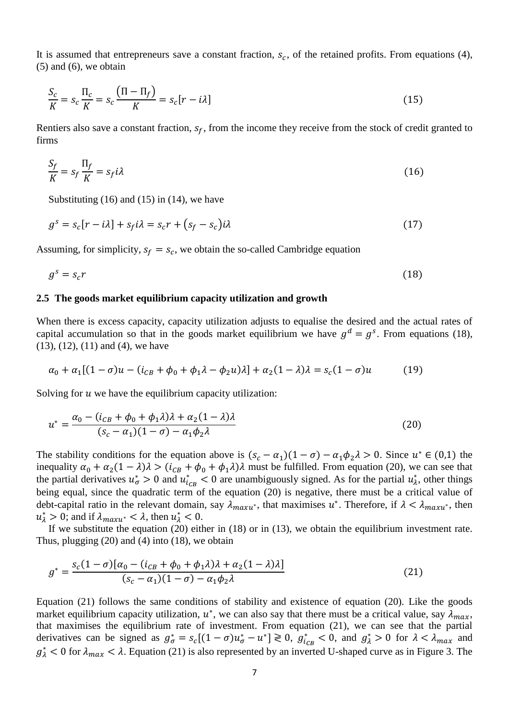It is assumed that entrepreneurs save a constant fraction,  $s_c$ , of the retained profits. From equations (4),  $(5)$  and  $(6)$ , we obtain

$$
\frac{S_c}{K} = s_c \frac{\Pi_c}{K} = s_c \frac{(\Pi - \Pi_f)}{K} = s_c [r - i\lambda]
$$
\n(15)

Rentiers also save a constant fraction,  $s_f$ , from the income they receive from the stock of credit granted to firms

$$
\frac{S_f}{K} = s_f \frac{\Pi_f}{K} = s_f i \lambda \tag{16}
$$

Substituting  $(16)$  and  $(15)$  in  $(14)$ , we have

$$
g^s = s_c[r - i\lambda] + s_f i\lambda = s_c r + (s_f - s_c) i\lambda
$$
\n(17)

Assuming, for simplicity,  $s_f = s_c$ , we obtain the so-called Cambridge equation

$$
g^s = s_c r \tag{18}
$$

### **2.5 The goods market equilibrium capacity utilization and growth**

When there is excess capacity, capacity utilization adjusts to equalise the desired and the actual rates of capital accumulation so that in the goods market equilibrium we have  $g^d = g^s$ . From equations (18), (13), (12), (11) and (4), we have

$$
\alpha_0 + \alpha_1 [(1 - \sigma)u - (i_{CB} + \phi_0 + \phi_1 \lambda - \phi_2 u)\lambda] + \alpha_2 (1 - \lambda)\lambda = s_c (1 - \sigma)u \tag{19}
$$

Solving for  $u$  we have the equilibrium capacity utilization:

$$
u^* = \frac{\alpha_0 - (i_{CB} + \phi_0 + \phi_1 \lambda)\lambda + \alpha_2 (1 - \lambda)\lambda}{(s_c - \alpha_1)(1 - \sigma) - \alpha_1 \phi_2 \lambda}
$$
(20)

The stability conditions for the equation above is  $(s_c - \alpha_1)(1 - \sigma) - \alpha_1 \phi_2 \lambda > 0$ . Since  $u^* \in (0,1)$  the inequality  $\alpha_0 + \alpha_2(1 - \lambda)\lambda > (i_{CB} + \phi_0 + \phi_1\lambda)\lambda$  must be fulfilled. From equation (20), we can see that the partial derivatives  $u^*_{\sigma} > 0$  and  $u^*_{i_{CB}} < 0$  are unambiguously signed. As for the partial  $u^*_{\lambda}$ , other things being equal, since the quadratic term of the equation (20) is negative, there must be a critical value of debt-capital ratio in the relevant domain, say  $\lambda_{maxu^*}$ , that maximises  $u^*$ . Therefore, if  $\lambda < \lambda_{maxu^*}$ , then  $u_{\lambda}^* > 0$ ; and if  $\lambda_{maxu^*} < \lambda$ , then  $u_{\lambda}^* < 0$ .

If we substitute the equation (20) either in (18) or in (13), we obtain the equilibrium investment rate. Thus, plugging  $(20)$  and  $(4)$  into  $(18)$ , we obtain

$$
g^* = \frac{s_c(1-\sigma)[\alpha_0 - (i_{CB} + \phi_0 + \phi_1\lambda)\lambda + \alpha_2(1-\lambda)\lambda]}{(s_c - \alpha_1)(1-\sigma) - \alpha_1\phi_2\lambda}
$$
(21)

Equation (21) follows the same conditions of stability and existence of equation (20). Like the goods market equilibrium capacity utilization,  $u^*$ , we can also say that there must be a critical value, say  $\lambda_{max}$ , that maximises the equilibrium rate of investment. From equation (21), we can see that the partial derivatives can be signed as  $g_{\sigma}^* = s_c[(1-\sigma)u_{\sigma}^* - u^*] \ge 0$ ,  $g_{i_{CB}}^* < 0$ , and  $g_{\lambda}^* > 0$  for  $\lambda < \lambda_{max}$  and  $g^*_{\lambda}$  < 0 for  $\lambda_{max}$  <  $\lambda$ . Equation (21) is also represented by an inverted U-shaped curve as in Figure 3. The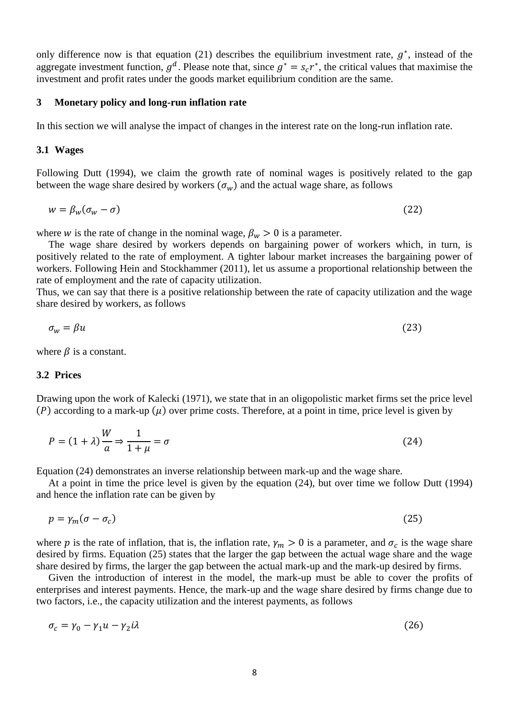only difference now is that equation (21) describes the equilibrium investment rate,  $g^*$ , instead of the aggregate investment function,  $g^d$ . Please note that, since  $g^* = s_c r^*$ , the critical values that maximise the investment and profit rates under the goods market equilibrium condition are the same.

### **3 Monetary policy and long-run inflation rate**

In this section we will analyse the impact of changes in the interest rate on the long-run inflation rate.

#### **3.1 Wages**

Following Dutt (1994), we claim the growth rate of nominal wages is positively related to the gap between the wage share desired by workers  $(\sigma_w)$  and the actual wage share, as follows

$$
w = \beta_w (\sigma_w - \sigma) \tag{22}
$$

where *w* is the rate of change in the nominal wage,  $\beta_w > 0$  is a parameter.

The wage share desired by workers depends on bargaining power of workers which, in turn, is positively related to the rate of employment. A tighter labour market increases the bargaining power of workers. Following Hein and Stockhammer (2011), let us assume a proportional relationship between the rate of employment and the rate of capacity utilization.

Thus, we can say that there is a positive relationship between the rate of capacity utilization and the wage share desired by workers, as follows

$$
\sigma_{w} = \beta u \tag{23}
$$

where  $\beta$  is a constant.

#### **3.2 Prices**

Drawing upon the work of Kalecki (1971), we state that in an oligopolistic market firms set the price level (P) according to a mark-up  $(\mu)$  over prime costs. Therefore, at a point in time, price level is given by

$$
P = (1 + \lambda) \frac{W}{a} \Rightarrow \frac{1}{1 + \mu} = \sigma \tag{24}
$$

Equation (24) demonstrates an inverse relationship between mark-up and the wage share.

At a point in time the price level is given by the equation (24), but over time we follow Dutt (1994) and hence the inflation rate can be given by

$$
p = \gamma_m(\sigma - \sigma_c) \tag{25}
$$

where p is the rate of inflation, that is, the inflation rate,  $\gamma_m > 0$  is a parameter, and  $\sigma_c$  is the wage share desired by firms. Equation (25) states that the larger the gap between the actual wage share and the wage share desired by firms, the larger the gap between the actual mark-up and the mark-up desired by firms.

Given the introduction of interest in the model, the mark-up must be able to cover the profits of enterprises and interest payments. Hence, the mark-up and the wage share desired by firms change due to two factors, i.e., the capacity utilization and the interest payments, as follows

$$
\sigma_c = \gamma_0 - \gamma_1 u - \gamma_2 i \lambda \tag{26}
$$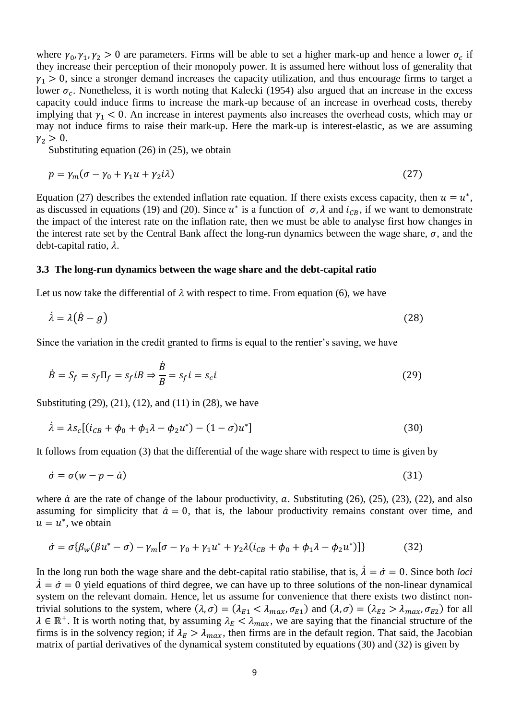where  $\gamma_0$ ,  $\gamma_1$ ,  $\gamma_2 > 0$  are parameters. Firms will be able to set a higher mark-up and hence a lower  $\sigma_c$  if they increase their perception of their monopoly power. It is assumed here without loss of generality that  $\gamma_1 > 0$ , since a stronger demand increases the capacity utilization, and thus encourage firms to target a lower  $\sigma_c$ . Nonetheless, it is worth noting that Kalecki (1954) also argued that an increase in the excess capacity could induce firms to increase the mark-up because of an increase in overhead costs, thereby implying that  $\gamma_1$  < 0. An increase in interest payments also increases the overhead costs, which may or may not induce firms to raise their mark-up. Here the mark-up is interest-elastic, as we are assuming  $\gamma_2 > 0$ .

Substituting equation (26) in (25), we obtain

$$
p = \gamma_m(\sigma - \gamma_0 + \gamma_1 u + \gamma_2 i\lambda) \tag{27}
$$

Equation (27) describes the extended inflation rate equation. If there exists excess capacity, then  $u = u^*$ , as discussed in equations (19) and (20). Since  $u^*$  is a function of  $\sigma$ ,  $\lambda$  and  $i_{CB}$ , if we want to demonstrate the impact of the interest rate on the inflation rate, then we must be able to analyse first how changes in the interest rate set by the Central Bank affect the long-run dynamics between the wage share,  $\sigma$ , and the debt-capital ratio,  $\lambda$ .

#### **3.3 The long-run dynamics between the wage share and the debt-capital ratio**

Let us now take the differential of  $\lambda$  with respect to time. From equation (6), we have

$$
\dot{\lambda} = \lambda (\dot{B} - g) \tag{28}
$$

Since the variation in the credit granted to firms is equal to the rentier's saving, we have

$$
\dot{B} = S_f = s_f \Pi_f = s_f iB \Rightarrow \frac{\dot{B}}{B} = s_f i = s_c i \tag{29}
$$

Substituting (29), (21), (12), and (11) in (28), we have

$$
\dot{\lambda} = \lambda s_c [(i_{CB} + \phi_0 + \phi_1 \lambda - \phi_2 u^*) - (1 - \sigma) u^*]
$$
\n(30)

It follows from equation (3) that the differential of the wage share with respect to time is given by

$$
\dot{\sigma} = \sigma(w - p - \dot{a}) \tag{31}
$$

where  $\dot{a}$  are the rate of change of the labour productivity,  $a$ . Substituting (26), (25), (23), (22), and also assuming for simplicity that  $\dot{a} = 0$ , that is, the labour productivity remains constant over time, and  $u = u^*$ , we obtain

$$
\dot{\sigma} = \sigma \{ \beta_w (\beta u^* - \sigma) - \gamma_m [\sigma - \gamma_0 + \gamma_1 u^* + \gamma_2 \lambda (i_{CB} + \phi_0 + \phi_1 \lambda - \phi_2 u^*) ] \}
$$
(32)

In the long run both the wage share and the debt-capital ratio stabilise, that is,  $\dot{\lambda} = \dot{\sigma} = 0$ . Since both *loci*  $\lambda = \sigma = 0$  yield equations of third degree, we can have up to three solutions of the non-linear dynamical system on the relevant domain. Hence, let us assume for convenience that there exists two distinct nontrivial solutions to the system, where  $(\lambda, \sigma) = (\lambda_{E1} < \lambda_{max}, \sigma_{E1})$  and  $(\lambda, \sigma) = (\lambda_{E2} > \lambda_{max}, \sigma_{E2})$  for all  $\lambda \in \mathbb{R}^+$ . It is worth noting that, by assuming  $\lambda_E < \lambda_{max}$ , we are saying that the financial structure of the firms is in the solvency region; if  $\lambda_E > \lambda_{max}$ , then firms are in the default region. That said, the Jacobian matrix of partial derivatives of the dynamical system constituted by equations (30) and (32) is given by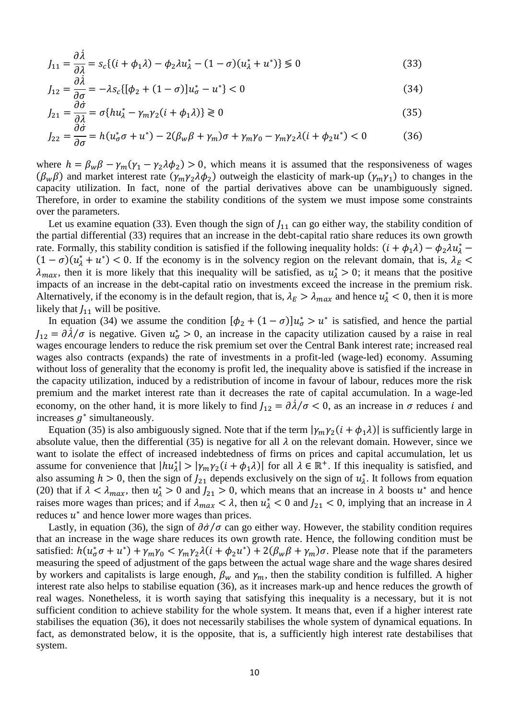$$
J_{11} = \frac{\partial \dot{\lambda}}{\partial \lambda} = s_c \{ (i + \phi_1 \lambda) - \phi_2 \lambda u_\lambda^* - (1 - \sigma)(u_\lambda^* + u^*) \} \le 0
$$
\n(33)

$$
J_{12} = \frac{\partial \lambda}{\partial \sigma} = -\lambda s_c \{ [\phi_2 + (1 - \sigma)] u_{\sigma}^* - u^* \} < 0
$$
 (34)

$$
J_{21} = \frac{\partial o}{\partial \lambda} = \sigma \{ h u_{\lambda}^* - \gamma_m \gamma_2 (i + \phi_1 \lambda) \} \ge 0
$$
\n(35)

$$
J_{22} = \frac{\partial \dot{\sigma}}{\partial \sigma} = h(u_{\sigma}^* \sigma + u^*) - 2(\beta_w \beta + \gamma_m) \sigma + \gamma_m \gamma_0 - \gamma_m \gamma_2 \lambda (i + \phi_2 u^*) < 0 \tag{36}
$$

where  $h = \beta_w \beta - \gamma_m (\gamma_1 - \gamma_2 \lambda \phi_2) > 0$ , which means it is assumed that the responsiveness of wages  $(\beta_w \beta)$  and market interest rate  $(\gamma_m \gamma_2 \lambda \phi_2)$  outweigh the elasticity of mark-up  $(\gamma_m \gamma_1)$  to changes in the capacity utilization. In fact, none of the partial derivatives above can be unambiguously signed. Therefore, in order to examine the stability conditions of the system we must impose some constraints over the parameters.

Let us examine equation (33). Even though the sign of  $J_{11}$  can go either way, the stability condition of the partial differential (33) requires that an increase in the debt-capital ratio share reduces its own growth rate. Formally, this stability condition is satisfied if the following inequality holds:  $(i + \phi_1 \lambda) - \phi_2 \lambda u_\lambda^*$  $(1 - \sigma)(u_{\lambda}^* + u^*)$  < 0. If the economy is in the solvency region on the relevant domain, that is,  $\lambda_E$  <  $\lambda_{max}$ , then it is more likely that this inequality will be satisfied, as  $u^*_{\lambda} > 0$ ; it means that the positive impacts of an increase in the debt-capital ratio on investments exceed the increase in the premium risk. Alternatively, if the economy is in the default region, that is,  $\lambda_E > \lambda_{max}$  and hence  $u^*_{\lambda} < 0$ , then it is more likely that  $J_{11}$  will be positive.

In equation (34) we assume the condition  $[\phi_2 + (1 - \sigma)]u^*_{\sigma} > u^*$  is satisfied, and hence the partial  $J_{12} = \partial \dot{\lambda}/\sigma$  is negative. Given  $u^*_{\sigma} > 0$ , an increase in the capacity utilization caused by a raise in real wages encourage lenders to reduce the risk premium set over the Central Bank interest rate; increased real wages also contracts (expands) the rate of investments in a profit-led (wage-led) economy. Assuming without loss of generality that the economy is profit led, the inequality above is satisfied if the increase in the capacity utilization, induced by a redistribution of income in favour of labour, reduces more the risk premium and the market interest rate than it decreases the rate of capital accumulation. In a wage-led economy, on the other hand, it is more likely to find  $J_{12} = \partial \lambda / \sigma < 0$ , as an increase in  $\sigma$  reduces *i* and increases  $g^*$  simultaneously.

Equation (35) is also ambiguously signed. Note that if the term  $|\gamma_m \gamma_2(i + \phi_1 \lambda)|$  is sufficiently large in absolute value, then the differential (35) is negative for all  $\lambda$  on the relevant domain. However, since we want to isolate the effect of increased indebtedness of firms on prices and capital accumulation, let us assume for convenience that  $|h u^*_{\lambda}| > |\gamma_m \gamma_2(i + \phi_1 \lambda)|$  for all  $\lambda \in \mathbb{R}^+$ . If this inequality is satisfied, and also assuming  $h > 0$ , then the sign of  $J_{21}$  depends exclusively on the sign of  $u_{\lambda}^{*}$ . It follows from equation (20) that if  $\lambda < \lambda_{max}$ , then  $u_{\lambda}^* > 0$  and  $J_{21} > 0$ , which means that an increase in  $\lambda$  boosts  $u^*$  and hence raises more wages than prices; and if  $\lambda_{max} < \lambda$ , then  $u^*_{\lambda} < 0$  and  $J_{21} < 0$ , implying that an increase in  $\lambda$ reduces  $u^*$  and hence lower more wages than prices.

Lastly, in equation (36), the sign of  $\partial \dot{\sigma}/\sigma$  can go either way. However, the stability condition requires that an increase in the wage share reduces its own growth rate. Hence, the following condition must be satisfied:  $h(u_{\sigma}^*\sigma + u^*) + \gamma_m\gamma_0 < \gamma_m\gamma_2\lambda(i + \phi_2u^*) + 2(\beta_w\beta + \gamma_m)\sigma$ . Please note that if the parameters measuring the speed of adjustment of the gaps between the actual wage share and the wage shares desired by workers and capitalists is large enough,  $\beta_w$  and  $\gamma_m$ , then the stability condition is fulfilled. A higher interest rate also helps to stabilise equation (36), as it increases mark-up and hence reduces the growth of real wages. Nonetheless, it is worth saying that satisfying this inequality is a necessary, but it is not sufficient condition to achieve stability for the whole system. It means that, even if a higher interest rate stabilises the equation (36), it does not necessarily stabilises the whole system of dynamical equations. In fact, as demonstrated below, it is the opposite, that is, a sufficiently high interest rate destabilises that system.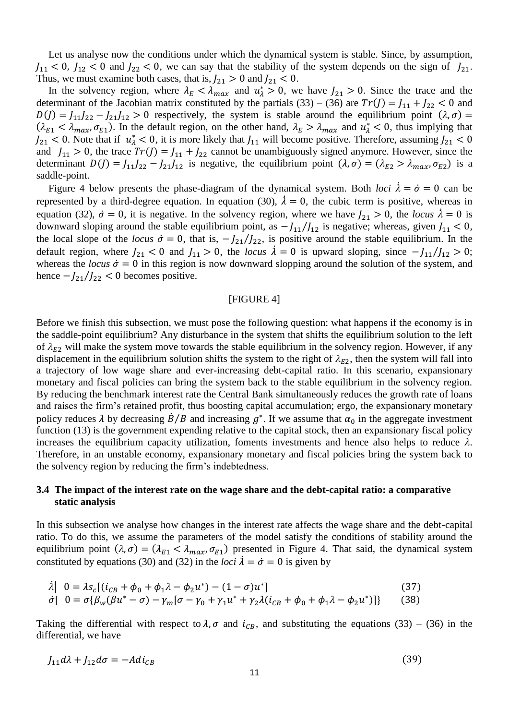Let us analyse now the conditions under which the dynamical system is stable. Since, by assumption,  $J_{11}$  < 0,  $J_{12}$  < 0 and  $J_{22}$  < 0, we can say that the stability of the system depends on the sign of  $J_{21}$ . Thus, we must examine both cases, that is,  $J_{21} > 0$  and  $J_{21} < 0$ .

In the solvency region, where  $\lambda_E < \lambda_{max}$  and  $u^*_{\lambda} > 0$ , we have  $J_{21} > 0$ . Since the trace and the determinant of the Jacobian matrix constituted by the partials (33) – (36) are  $Tr(J) = J_{11} + J_{22} < 0$  and  $D(J) = J_{11}J_{22} - J_{21}J_{12} > 0$  respectively, the system is stable around the equilibrium point  $(\lambda, \sigma)$  =  $(\lambda_{E1} < \lambda_{max}, \sigma_{E1})$ . In the default region, on the other hand,  $\lambda_E > \lambda_{max}$  and  $u_A^* < 0$ , thus implying that  $J_{21}$  < 0. Note that if  $u^*_{\lambda}$  < 0, it is more likely that  $J_{11}$  will become positive. Therefore, assuming  $J_{21}$  < 0 and  $J_{11} > 0$ , the trace  $Tr(J) = J_{11} + J_{22}$  cannot be unambiguously signed anymore. However, since the determinant  $D(J) = J_{11}J_{22} - J_{21}J_{12}$  is negative, the equilibrium point  $(\lambda, \sigma) = (\lambda_{E2} > \lambda_{max}, \sigma_{E2})$  is a saddle-point.

Figure 4 below presents the phase-diagram of the dynamical system. Both *loci*  $\lambda = \dot{\sigma} = 0$  can be represented by a third-degree equation. In equation (30),  $\dot{\lambda} = 0$ , the cubic term is positive, whereas in equation (32),  $\dot{\sigma} = 0$ , it is negative. In the solvency region, where we have  $J_{21} > 0$ , the *locus*  $\dot{\lambda} = 0$  is downward sloping around the stable equilibrium point, as  $-J_{11}/J_{12}$  is negative; whereas, given  $J_{11} < 0$ , the local slope of the *locus*  $\dot{\sigma} = 0$ , that is,  $-I_{21}/I_{22}$ , is positive around the stable equilibrium. In the default region, where  $J_{21}$  < 0 and  $J_{11}$  > 0, the *locus*  $\lambda = 0$  is upward sloping, since  $-J_{11}/J_{12}$  > 0; whereas the *locus*  $\dot{\sigma} = 0$  in this region is now downward slopping around the solution of the system, and hence  $-J_{21}/J_{22} < 0$  becomes positive.

#### [FIGURE 4]

Before we finish this subsection, we must pose the following question: what happens if the economy is in the saddle-point equilibrium? Any disturbance in the system that shifts the equilibrium solution to the left of  $\lambda_{E2}$  will make the system move towards the stable equilibrium in the solvency region. However, if any displacement in the equilibrium solution shifts the system to the right of  $\lambda_{E2}$ , then the system will fall into a trajectory of low wage share and ever-increasing debt-capital ratio. In this scenario, expansionary monetary and fiscal policies can bring the system back to the stable equilibrium in the solvency region. By reducing the benchmark interest rate the Central Bank simultaneously reduces the growth rate of loans and raises the firm's retained profit, thus boosting capital accumulation; ergo, the expansionary monetary policy reduces  $\lambda$  by decreasing  $\dot{B}/B$  and increasing  $g^*$ . If we assume that  $\alpha_0$  in the aggregate investment function (13) is the government expending relative to the capital stock, then an expansionary fiscal policy increases the equilibrium capacity utilization, foments investments and hence also helps to reduce  $\lambda$ . Therefore, in an unstable economy, expansionary monetary and fiscal policies bring the system back to the solvency region by reducing the firm's indebtedness.

### **3.4 The impact of the interest rate on the wage share and the debt-capital ratio: a comparative static analysis**

In this subsection we analyse how changes in the interest rate affects the wage share and the debt-capital ratio. To do this, we assume the parameters of the model satisfy the conditions of stability around the equilibrium point  $(\lambda, \sigma) = (\lambda_{E1} < \lambda_{max}, \sigma_{E1})$  presented in Figure 4. That said, the dynamical system constituted by equations (30) and (32) in the *loci*  $\lambda = \dot{\sigma} = 0$  is given by

$$
\begin{aligned}\n\lambda \left| \begin{array}{l} 0 &= \lambda s_c \left[ (i_{CB} + \phi_0 + \phi_1 \lambda - \phi_2 u^*) - (1 - \sigma) u^* \right] \\
\dot{\sigma} \right| & 0 &= \sigma \{ \beta_w (\beta u^* - \sigma) - \gamma_m [\sigma - \gamma_0 + \gamma_1 u^* + \gamma_2 \lambda (i_{CB} + \phi_0 + \phi_1 \lambda - \phi_2 u^*)] \} \\
\end{array}\n\end{aligned}\n\tag{37}
$$

Taking the differential with respect to  $\lambda$ ,  $\sigma$  and  $i_{CB}$ , and substituting the equations (33) – (36) in the differential, we have

$$
J_{11}d\lambda + J_{12}d\sigma = -Adi_{CB} \tag{39}
$$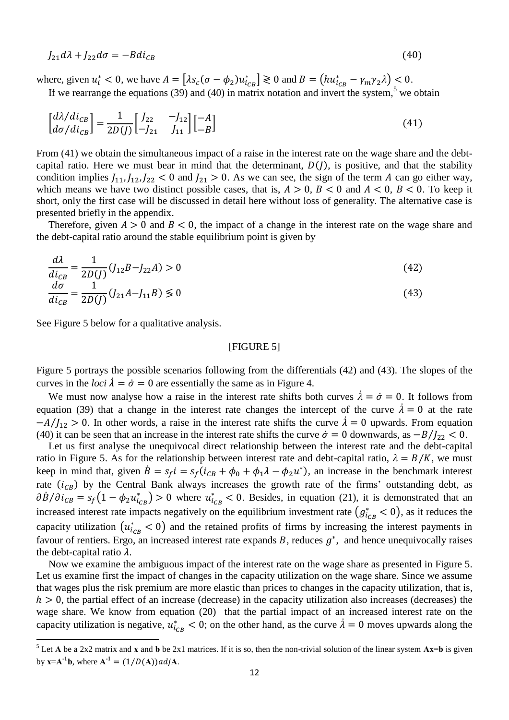$l_{21} d\lambda + l_{22} d\sigma = -Bdi_{CR}$  (40)

where, given  $u_i^* < 0$ , we have  $A = \left[ \lambda s_c(\sigma - \phi_2) u_{ic}^* \right] \ge 0$  and  $B = \left( h u_{ic}^* - \gamma_m \gamma_2 \lambda \right) \le 0$ . If we rearrange the equations (39) and (40) in matrix notation and invert the system,<sup>5</sup> we obtain

$$
\begin{bmatrix} d\lambda/di_{CB} \\ d\sigma/di_{CB} \end{bmatrix} = \frac{1}{2D(J)} \begin{bmatrix} J_{22} & -J_{12} \\ -J_{21} & J_{11} \end{bmatrix} \begin{bmatrix} -A \\ -B \end{bmatrix}
$$
\n(41)

From (41) we obtain the simultaneous impact of a raise in the interest rate on the wage share and the debtcapital ratio. Here we must bear in mind that the determinant,  $D(J)$ , is positive, and that the stability condition implies  $J_{11}, J_{12}, J_{22} < 0$  and  $J_{21} > 0$ . As we can see, the sign of the term A can go either way, which means we have two distinct possible cases, that is,  $A > 0$ ,  $B < 0$  and  $A < 0$ ,  $B < 0$ . To keep it short, only the first case will be discussed in detail here without loss of generality. The alternative case is presented briefly in the appendix.

Therefore, given  $A > 0$  and  $B < 0$ , the impact of a change in the interest rate on the wage share and the debt-capital ratio around the stable equilibrium point is given by

$$
\frac{d\lambda}{di_{CB}} = \frac{1}{2D(J)}(J_{12}B - J_{22}A) > 0
$$
\n(42)

$$
\frac{d\sigma}{di_{CB}} = \frac{1}{2D(J)}(J_{21}A - J_{11}B) \le 0
$$
\n(43)

See Figure 5 below for a qualitative analysis.

 $\overline{a}$ 

### [FIGURE 5]

Figure 5 portrays the possible scenarios following from the differentials (42) and (43). The slopes of the curves in the *loci*  $\dot{\lambda} = \dot{\sigma} = 0$  are essentially the same as in Figure 4.

We must now analyse how a raise in the interest rate shifts both curves  $\lambda = \dot{\sigma} = 0$ . It follows from equation (39) that a change in the interest rate changes the intercept of the curve  $\lambda = 0$  at the rate  $-A/I_{12} > 0$ . In other words, a raise in the interest rate shifts the curve  $\lambda = 0$  upwards. From equation (40) it can be seen that an increase in the interest rate shifts the curve  $\dot{\sigma} = 0$  downwards, as  $-B/I_{22} < 0$ .

Let us first analyse the unequivocal direct relationship between the interest rate and the debt-capital ratio in Figure 5. As for the relationship between interest rate and debt-capital ratio,  $\lambda = B/K$ , we must keep in mind that, given  $\dot{B} = s_f i = s_f (i_{CB} + \phi_0 + \phi_1 \lambda - \phi_2 u^*)$ , an increase in the benchmark interest rate  $(i_{CB})$  by the Central Bank always increases the growth rate of the firms' outstanding debt, as  $\partial \dot{B}/\partial i_{CB} = s_f(1 - \phi_2 u_{icB}^*) > 0$  where  $u_{icB}^* < 0$ . Besides, in equation (21), it is demonstrated that an increased interest rate impacts negatively on the equilibrium investment rate  $(g_{i_{CB}}^* < 0)$ , as it reduces the capacity utilization  $(u_{i_{CB}}^* < 0)$  and the retained profits of firms by increasing the interest payments in favour of rentiers. Ergo, an increased interest rate expands  $B$ , reduces  $g^*$ , and hence unequivocally raises the debt-capital ratio  $\lambda$ .

Now we examine the ambiguous impact of the interest rate on the wage share as presented in Figure 5. Let us examine first the impact of changes in the capacity utilization on the wage share. Since we assume that wages plus the risk premium are more elastic than prices to changes in the capacity utilization, that is,  $h > 0$ , the partial effect of an increase (decrease) in the capacity utilization also increases (decreases) the wage share. We know from equation (20) that the partial impact of an increased interest rate on the capacity utilization is negative,  $u_{i_{CB}}^* < 0$ ; on the other hand, as the curve  $\lambda = 0$  moves upwards along the

<sup>&</sup>lt;sup>5</sup> Let **A** be a 2x2 matrix and **x** and **b** be 2x1 matrices. If it is so, then the non-trivial solution of the linear system  $Ax=b$  is given by  $x = A^{-1}b$ , where  $A^{-1} = (1/D(A))adjA$ .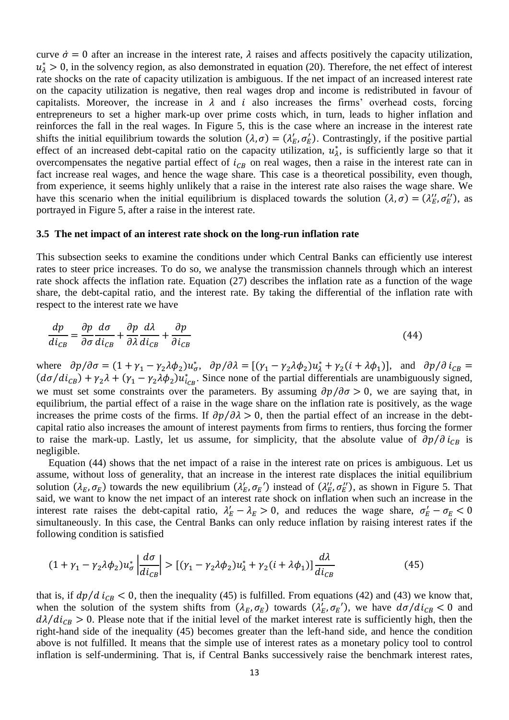curve  $\dot{\sigma} = 0$  after an increase in the interest rate,  $\lambda$  raises and affects positively the capacity utilization,  $u^*_{\lambda} > 0$ , in the solvency region, as also demonstrated in equation (20). Therefore, the net effect of interest rate shocks on the rate of capacity utilization is ambiguous. If the net impact of an increased interest rate on the capacity utilization is negative, then real wages drop and income is redistributed in favour of capitalists. Moreover, the increase in  $\lambda$  and  $i$  also increases the firms' overhead costs, forcing entrepreneurs to set a higher mark-up over prime costs which, in turn, leads to higher inflation and reinforces the fall in the real wages. In Figure 5, this is the case where an increase in the interest rate shifts the initial equilibrium towards the solution  $(\lambda, \sigma) = (\lambda_E', \sigma_E')$ . Contrastingly, if the positive partial effect of an increased debt-capital ratio on the capacity utilization,  $u_{\lambda}^{*}$ , is sufficiently large so that it overcompensates the negative partial effect of  $i_{CB}$  on real wages, then a raise in the interest rate can in fact increase real wages, and hence the wage share. This case is a theoretical possibility, even though, from experience, it seems highly unlikely that a raise in the interest rate also raises the wage share. We have this scenario when the initial equilibrium is displaced towards the solution  $(\lambda, \sigma) = (\lambda''_E, \sigma''_E)$ , as portrayed in Figure 5, after a raise in the interest rate.

#### **3.5 The net impact of an interest rate shock on the long-run inflation rate**

This subsection seeks to examine the conditions under which Central Banks can efficiently use interest rates to steer price increases. To do so, we analyse the transmission channels through which an interest rate shock affects the inflation rate. Equation (27) describes the inflation rate as a function of the wage share, the debt-capital ratio, and the interest rate. By taking the differential of the inflation rate with respect to the interest rate we have

$$
\frac{dp}{di_{CB}} = \frac{\partial p}{\partial \sigma} \frac{d\sigma}{di_{CB}} + \frac{\partial p}{\partial \lambda} \frac{d\lambda}{di_{CB}} + \frac{\partial p}{\partial i_{CB}}
$$
(44)

where  $\partial p/\partial \sigma = (1 + \gamma_1 - \gamma_2 \lambda \phi_2) u_{\sigma}^*$ ,  $\partial p/\partial \lambda = [(\gamma_1 - \gamma_2 \lambda \phi_2) u_{\lambda}^* + \gamma_2 (i + \lambda \phi_1)],$  and  $\partial p/\partial i_{CB} =$  $(d\sigma/di_{CB}) + \gamma_2 \lambda + (\gamma_1 - \gamma_2 \lambda \phi_2) u_{CB}^*$ . Since none of the partial differentials are unambiguously signed, we must set some constraints over the parameters. By assuming  $\partial p / \partial \sigma > 0$ , we are saying that, in equilibrium, the partial effect of a raise in the wage share on the inflation rate is positively, as the wage increases the prime costs of the firms. If  $\partial p / \partial \lambda > 0$ , then the partial effect of an increase in the debtcapital ratio also increases the amount of interest payments from firms to rentiers, thus forcing the former to raise the mark-up. Lastly, let us assume, for simplicity, that the absolute value of  $\partial p/\partial i_{CB}$  is negligible.

Equation (44) shows that the net impact of a raise in the interest rate on prices is ambiguous. Let us assume, without loss of generality, that an increase in the interest rate displaces the initial equilibrium solution  $(\lambda_E, \sigma_E)$  towards the new equilibrium  $(\lambda_E', \sigma_E')$  instead of  $(\lambda_E'', \sigma_E'')$ , as shown in Figure 5. That said, we want to know the net impact of an interest rate shock on inflation when such an increase in the interest rate raises the debt-capital ratio,  $\lambda'_E - \lambda_E > 0$ , and reduces the wage share,  $\sigma'_E - \sigma_E < 0$ simultaneously. In this case, the Central Banks can only reduce inflation by raising interest rates if the following condition is satisfied

$$
(1 + \gamma_1 - \gamma_2 \lambda \phi_2) u_{\sigma}^* \left| \frac{d\sigma}{di_{CB}} \right| > \left[ (\gamma_1 - \gamma_2 \lambda \phi_2) u_{\lambda}^* + \gamma_2 (i + \lambda \phi_1) \right] \frac{d\lambda}{di_{CB}} \tag{45}
$$

that is, if  $dp/d$   $i_{CB}$  < 0, then the inequality (45) is fulfilled. From equations (42) and (43) we know that, when the solution of the system shifts from  $(\lambda_E, \sigma_E)$  towards  $(\lambda_E', \sigma_E')$ , we have  $d\sigma/di_{CB} < 0$  and  $d\lambda/di_{CB} > 0$ . Please note that if the initial level of the market interest rate is sufficiently high, then the right-hand side of the inequality (45) becomes greater than the left-hand side, and hence the condition above is not fulfilled. It means that the simple use of interest rates as a monetary policy tool to control inflation is self-undermining. That is, if Central Banks successively raise the benchmark interest rates,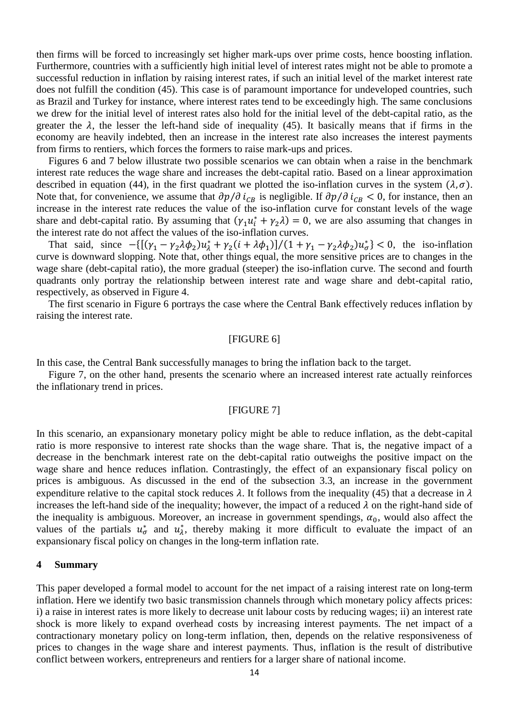then firms will be forced to increasingly set higher mark-ups over prime costs, hence boosting inflation. Furthermore, countries with a sufficiently high initial level of interest rates might not be able to promote a successful reduction in inflation by raising interest rates, if such an initial level of the market interest rate does not fulfill the condition (45). This case is of paramount importance for undeveloped countries, such as Brazil and Turkey for instance, where interest rates tend to be exceedingly high. The same conclusions we drew for the initial level of interest rates also hold for the initial level of the debt-capital ratio, as the greater the  $\lambda$ , the lesser the left-hand side of inequality (45). It basically means that if firms in the economy are heavily indebted, then an increase in the interest rate also increases the interest payments from firms to rentiers, which forces the formers to raise mark-ups and prices.

Figures 6 and 7 below illustrate two possible scenarios we can obtain when a raise in the benchmark interest rate reduces the wage share and increases the debt-capital ratio. Based on a linear approximation described in equation (44), in the first quadrant we plotted the iso-inflation curves in the system  $(\lambda, \sigma)$ . Note that, for convenience, we assume that  $\partial p/\partial i_{CR}$  is negligible. If  $\partial p/\partial i_{CR} < 0$ , for instance, then an increase in the interest rate reduces the value of the iso-inflation curve for constant levels of the wage share and debt-capital ratio. By assuming that  $(\gamma_1 u_i^* + \gamma_2 \lambda) = 0$ , we are also assuming that changes in the interest rate do not affect the values of the iso-inflation curves.

That said, since  $-{\left[ {\left( {\gamma _1 - \gamma _2 \lambda \phi _2 } \right)} u_\lambda^* + \gamma _2 (i + \lambda \phi _1 )} \right]}/{\left( {1 + \gamma _1 - \gamma _2 \lambda \phi _2 } \right)} u_\sigma^*$  < 0, the iso-inflation curve is downward slopping. Note that, other things equal, the more sensitive prices are to changes in the wage share (debt-capital ratio), the more gradual (steeper) the iso-inflation curve. The second and fourth quadrants only portray the relationship between interest rate and wage share and debt-capital ratio, respectively, as observed in Figure 4.

The first scenario in Figure 6 portrays the case where the Central Bank effectively reduces inflation by raising the interest rate.

### [FIGURE 6]

In this case, the Central Bank successfully manages to bring the inflation back to the target.

Figure 7, on the other hand, presents the scenario where an increased interest rate actually reinforces the inflationary trend in prices.

### [FIGURE 7]

In this scenario, an expansionary monetary policy might be able to reduce inflation, as the debt-capital ratio is more responsive to interest rate shocks than the wage share. That is, the negative impact of a decrease in the benchmark interest rate on the debt-capital ratio outweighs the positive impact on the wage share and hence reduces inflation. Contrastingly, the effect of an expansionary fiscal policy on prices is ambiguous. As discussed in the end of the subsection 3.3, an increase in the government expenditure relative to the capital stock reduces  $\lambda$ . It follows from the inequality (45) that a decrease in  $\lambda$ increases the left-hand side of the inequality; however, the impact of a reduced  $\lambda$  on the right-hand side of the inequality is ambiguous. Moreover, an increase in government spendings,  $\alpha_0$ , would also affect the values of the partials  $u^*_{\sigma}$  and  $u^*_{\lambda}$ , thereby making it more difficult to evaluate the impact of an expansionary fiscal policy on changes in the long-term inflation rate.

#### **4 Summary**

This paper developed a formal model to account for the net impact of a raising interest rate on long-term inflation. Here we identify two basic transmission channels through which monetary policy affects prices: i) a raise in interest rates is more likely to decrease unit labour costs by reducing wages; ii) an interest rate shock is more likely to expand overhead costs by increasing interest payments. The net impact of a contractionary monetary policy on long-term inflation, then, depends on the relative responsiveness of prices to changes in the wage share and interest payments. Thus, inflation is the result of distributive conflict between workers, entrepreneurs and rentiers for a larger share of national income.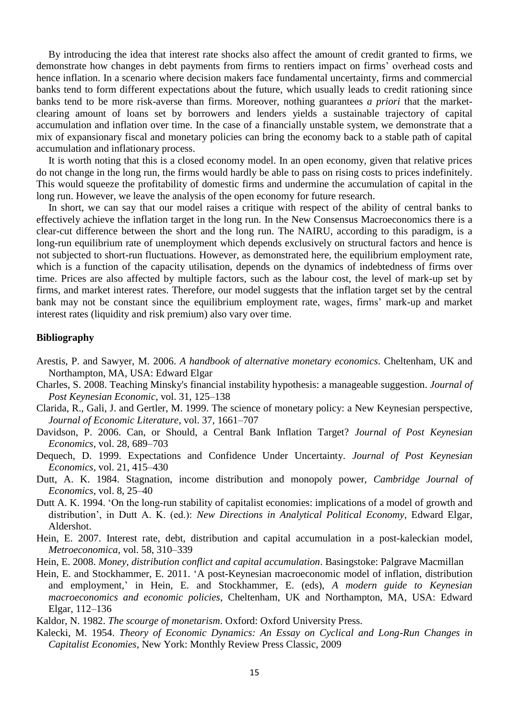By introducing the idea that interest rate shocks also affect the amount of credit granted to firms, we demonstrate how changes in debt payments from firms to rentiers impact on firms' overhead costs and hence inflation. In a scenario where decision makers face fundamental uncertainty, firms and commercial banks tend to form different expectations about the future, which usually leads to credit rationing since banks tend to be more risk-averse than firms. Moreover, nothing guarantees *a priori* that the marketclearing amount of loans set by borrowers and lenders yields a sustainable trajectory of capital accumulation and inflation over time. In the case of a financially unstable system, we demonstrate that a mix of expansionary fiscal and monetary policies can bring the economy back to a stable path of capital accumulation and inflationary process.

It is worth noting that this is a closed economy model. In an open economy, given that relative prices do not change in the long run, the firms would hardly be able to pass on rising costs to prices indefinitely. This would squeeze the profitability of domestic firms and undermine the accumulation of capital in the long run. However, we leave the analysis of the open economy for future research.

In short, we can say that our model raises a critique with respect of the ability of central banks to effectively achieve the inflation target in the long run. In the New Consensus Macroeconomics there is a clear-cut difference between the short and the long run. The NAIRU, according to this paradigm, is a long-run equilibrium rate of unemployment which depends exclusively on structural factors and hence is not subjected to short-run fluctuations. However, as demonstrated here, the equilibrium employment rate, which is a function of the capacity utilisation, depends on the dynamics of indebtedness of firms over time. Prices are also affected by multiple factors, such as the labour cost, the level of mark-up set by firms, and market interest rates. Therefore, our model suggests that the inflation target set by the central bank may not be constant since the equilibrium employment rate, wages, firms' mark-up and market interest rates (liquidity and risk premium) also vary over time.

### **Bibliography**

- Arestis, P. and Sawyer, M. 2006. *A handbook of alternative monetary economics*. Cheltenham, UK and Northampton, MA, USA: Edward Elgar
- Charles, S. 2008. Teaching Minsky's financial instability hypothesis: a manageable suggestion. *Journal of Post Keynesian Economic*, vol. 31, 125–138
- Clarida, R., Gali, J. and Gertler, M. 1999. The science of monetary policy: a New Keynesian perspective, *Journal of Economic Literature*, vol. 37, 1661–707
- Davidson, P. 2006. Can, or Should, a Central Bank Inflation Target? *Journal of Post Keynesian Economics*, vol. 28, 689–703
- Dequech, D. 1999. Expectations and Confidence Under Uncertainty. *Journal of Post Keynesian Economics*, vol. 21, 415–430
- Dutt, A. K. 1984. Stagnation, income distribution and monopoly power, *Cambridge Journal of Economics*, vol. 8, 25–40
- Dutt A. K. 1994. 'On the long-run stability of capitalist economies: implications of a model of growth and distribution', in Dutt A. K. (ed.): *New Directions in Analytical Political Economy*, Edward Elgar, Aldershot.
- Hein, E. 2007. Interest rate, debt, distribution and capital accumulation in a post-kaleckian model, *Metroeconomica*, vol. 58, 310–339
- Hein, E. 2008. *Money, distribution conflict and capital accumulation*. Basingstoke: Palgrave Macmillan
- Hein, E. and Stockhammer, E. 2011. 'A post-Keynesian macroeconomic model of inflation, distribution and employment,' in Hein, E. and Stockhammer, E. (eds), *A modern guide to Keynesian macroeconomics and economic policies*, Cheltenham, UK and Northampton, MA, USA: Edward Elgar, 112–136

Kaldor, N. 1982. *The scourge of monetarism*. Oxford: Oxford University Press.

Kalecki, M. 1954. *Theory of Economic Dynamics: An Essay on Cyclical and Long-Run Changes in Capitalist Economies*, New York: Monthly Review Press Classic, 2009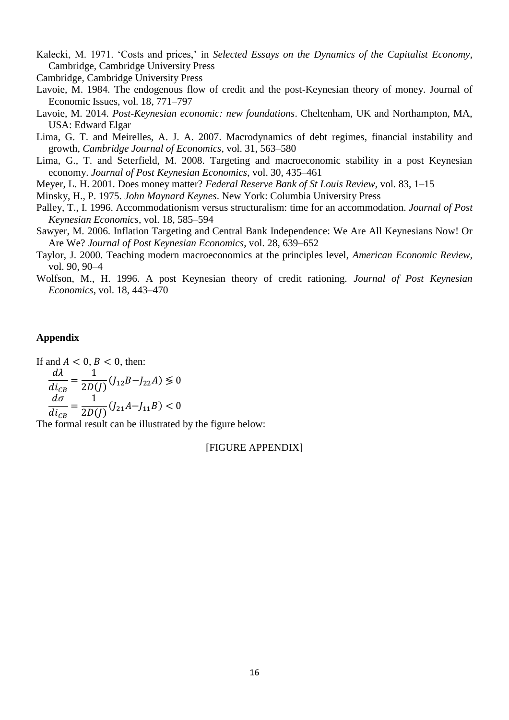Kalecki, M. 1971. 'Costs and prices,' in *Selected Essays on the Dynamics of the Capitalist Economy*, Cambridge, Cambridge University Press

Cambridge, Cambridge University Press

- Lavoie, M. 1984. The endogenous flow of credit and the post-Keynesian theory of money. Journal of Economic Issues, vol. 18, 771–797
- Lavoie, M. 2014. *Post-Keynesian economic: new foundations*. Cheltenham, UK and Northampton, MA, USA: Edward Elgar
- Lima, G. T. and Meirelles, A. J. A. 2007. Macrodynamics of debt regimes, financial instability and growth, *Cambridge Journal of Economics*, vol. 31, 563–580
- Lima, G., T. and Seterfield, M. 2008. Targeting and macroeconomic stability in a post Keynesian economy. *Journal of Post Keynesian Economics*, vol. 30, 435–461

Meyer, L. H. 2001. Does money matter? *Federal Reserve Bank of St Louis Review*, vol. 83, 1–15

- Minsky, H., P. 1975. *John Maynard Keynes*. New York: Columbia University Press
- Palley, T., I. 1996. Accommodationism versus structuralism: time for an accommodation. *Journal of Post Keynesian Economics*, vol. 18, 585–594
- Sawyer, M. 2006. Inflation Targeting and Central Bank Independence: We Are All Keynesians Now! Or Are We? *Journal of Post Keynesian Economics*, vol. 28, 639–652
- Taylor, J. 2000. Teaching modern macroeconomics at the principles level, *American Economic Review*, vol. 90, 90–4
- Wolfson, M., H. 1996. A post Keynesian theory of credit rationing. *Journal of Post Keynesian Economics*, vol. 18, 443–470

### **Appendix**

If and  $A < 0$ ,  $B < 0$ , then:

$$
\frac{d\lambda}{di_{CB}} = \frac{1}{2D(J)} (J_{12}B - J_{22}A) \le 0
$$

$$
\frac{d\sigma}{di_{CB}} = \frac{1}{2D(J)} (J_{21}A - J_{11}B) < 0
$$

The formal result can be illustrated by the figure below:

[FIGURE APPENDIX]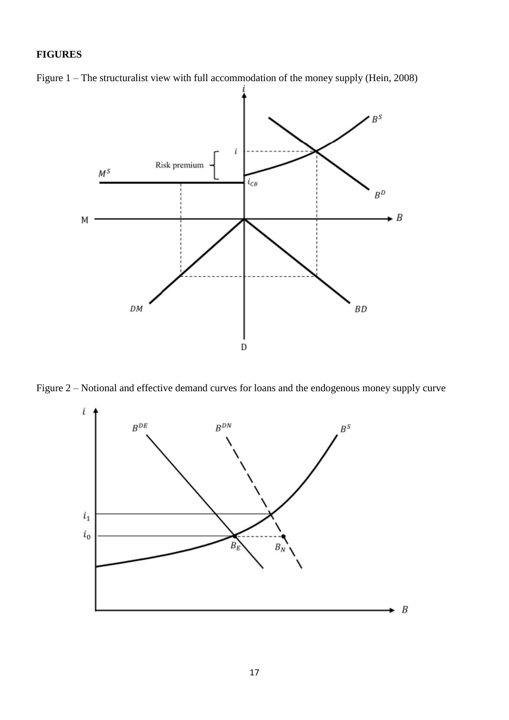# **FIGURES**





Figure 2 – Notional and effective demand curves for loans and the endogenous money supply curve

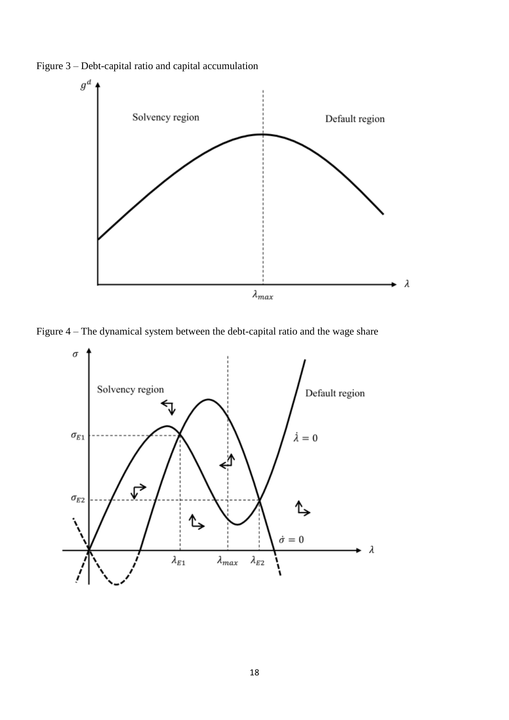Figure 3 – Debt-capital ratio and capital accumulation



Figure 4 – The dynamical system between the debt-capital ratio and the wage share

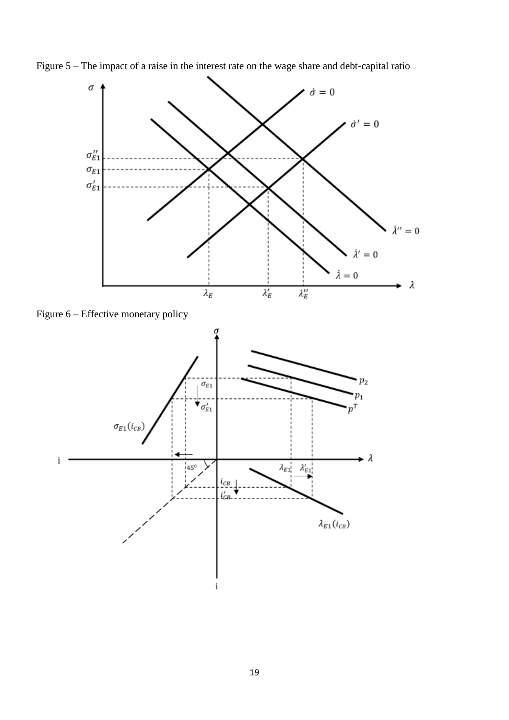

Figure 5 – The impact of a raise in the interest rate on the wage share and debt-capital ratio

Figure 6 – Effective monetary policy